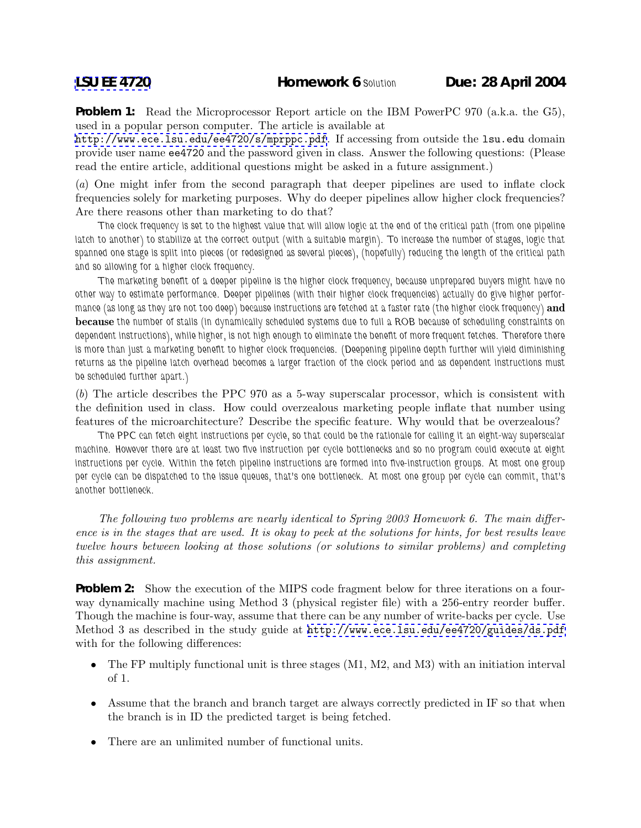**Problem 1:** Read the Microprocessor Report article on the IBM PowerPC 970 (a.k.a. the G5), used in a popular person computer. The article is available at

<http://www.ece.lsu.edu/ee4720/s/mprppc.pdf>. If accessing from outside the lsu.edu domain provide user name ee4720 and the password given in class. Answer the following questions: (Please read the entire article, additional questions might be asked in a future assignment.)

(*a*) One might infer from the second paragraph that deeper pipelines are used to inflate clock frequencies solely for marketing purposes. Why do deeper pipelines allow higher clock frequencies? Are there reasons other than marketing to do that?

*The clock frequency is set to the highest value that will allow logic at the end of the critical path (from one pipeline latch to another) to stabilize at the correct output (with a suitable margin). To increase the number of stages, logic that spanned one stage is split into pieces (or redesigned as several pieces), (hopefully) reducing the length of the critical path and so allowing for a higher clock frequency.*

*The marketing benefit of a deeper pipeline is the higher clock frequency, because unprepared buyers might have no other way to estimate performance. Deeper pipelines (with their higher clock frequencies) actually do give higher performance (as long as they are not too deep) because instructions are fetched at a faster rate (the higher clock frequency)* **and because** *the number of stalls (in dynamically scheduled systems due to full a ROB because of scheduling constraints on dependent instructions), while higher, is not high enough to eliminate the benefit of more frequent fetches. Therefore there is more than just a marketing benefit to higher clock frequencies. (Deepening pipeline depth further will yield diminishing returns as the pipeline latch overhead becomes a larger fraction of the clock period and as dependent instructions must be scheduled further apart.)*

(*b*) The article describes the PPC 970 as a 5-way superscalar processor, which is consistent with the definition used in class. How could overzealous marketing people inflate that number using features of the microarchitecture? Describe the specific feature. Why would that be overzealous?

*The PPC can fetch eight instructions per cycle, so that could be the rationale for calling it an eight-way superscalar machine. However there are at least two five instruction per cycle bottlenecks and so no program could execute at eight instructions per cycle. Within the fetch pipeline instructions are formed into five-instruction groups. At most one group per cycle can be dispatched to the issue queues, that's one bottleneck. At most one group per cycle can commit, that's another bottleneck.*

*The following two problems are nearly identical to Spring 2003 Homework 6. The main difference is in the stages that are used. It is okay to peek at the solutions for hints, for best results leave twelve hours between looking at those solutions (or solutions to similar problems) and completing this assignment.*

**Problem 2:** Show the execution of the MIPS code fragment below for three iterations on a fourway dynamically machine using Method 3 (physical register file) with a 256-entry reorder buffer. Though the machine is four-way, assume that there can be any number of write-backs per cycle. Use Method 3 as described in the study guide at <http://www.ece.lsu.edu/ee4720/guides/ds.pdf> with for the following differences:

- The FP multiply functional unit is three stages (M1, M2, and M3) with an initiation interval of 1.
- Assume that the branch and branch target are always correctly predicted in IF so that when the branch is in ID the predicted target is being fetched.
- There are an unlimited number of functional units.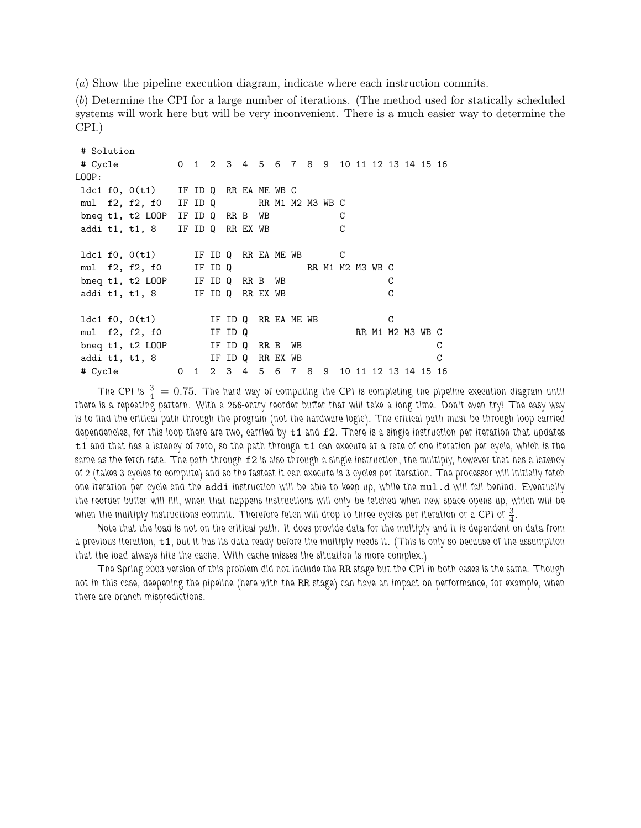(*a*) Show the pipeline execution diagram, indicate where each instruction commits.

(*b*) Determine the CPI for a large number of iterations. (The method used for statically scheduled systems will work here but will be very inconvenient. There is a much easier way to determine the CPI.)

# Solution # Cycle 0 1 2 3 4 5 6 7 8 9 10 11 12 13 14 15 16 LOOP: ldc1 f0, 0(t1) IF ID Q RR EA ME WB C mul f2, f2, f0 IF ID Q RR M1 M2 M3 WB C bneq t1, t2 LOOP IF ID Q RR B WB C addi t1, t1, 8 IF ID Q RR EX WB C ldc1 f0, 0(t1) IF ID Q RR EA ME WB C mul f2, f2, f0 IF ID Q RR M1 M2 M3 WB C bneq t1, t2 LOOP IF ID Q RR B WB C addi t1, t1, 8 IF ID Q RR EX WB C ldc1 f0, 0(t1) IF ID Q RR EA ME WB C mul f2, f2, f0 IF ID Q RR M1 M2 M3 WB C bneq t1, t2 LOOP IF ID Q RR B WB C addi t1, t1, 8 IF ID Q RR EX WB C # Cycle 0 1 2 3 4 5 6 7 8 9 10 11 12 13 14 15 16

The CPI is  $\frac{3}{4} = 0.75$ . The hard way of computing the CPI is completing the pipeline execution diagram until *there is a repeating pattern. With a 256-entry reorder buffer that will take a long time. Don't even try! The easy way is to find the critical path through the program (not the hardware logic). The critical path must be through loop carried dependencies, for this loop there are two, carried by* t1 *and* f2*. There is a single instruction per iteration that updates* t1 *and that has a latency of zero, so the path through* t1 *can execute at a rate of one iteration per cycle, which is the* same as the fetch rate. The path through  $f2$  is also through a single instruction, the multiply, however that has a latency *of 2 (takes 3 cycles to compute) and so the fastest it can execute is 3 cycles per iteration. The processor will initially fetch one iteration per cycle and the* addi *instruction will be able to keep up, while the* mul.d *will fall behind. Eventually the reorder buffer will fill, when that happens instructions will only be fetched when new space opens up, which will be* when the multiply instructions commit. Therefore fetch will drop to three cycles per iteration or a CPI of  $\frac{3}{4}$ .

*Note that the load is not on the critical path. It does provide data for the multiply and it is dependent on data from a previous iteration,* t1*, but it has its data ready before the multiply needs it. (This is only so because of the assumption that the load always hits the cache. With cache misses the situation is more complex.)*

*The Spring 2003 version of this problem did not include the* RR *stage but the CPI in both cases is the same. Though not in this case, deepening the pipeline (here with the* RR *stage) can have an impact on performance, for example, when there are branch mispredictions.*